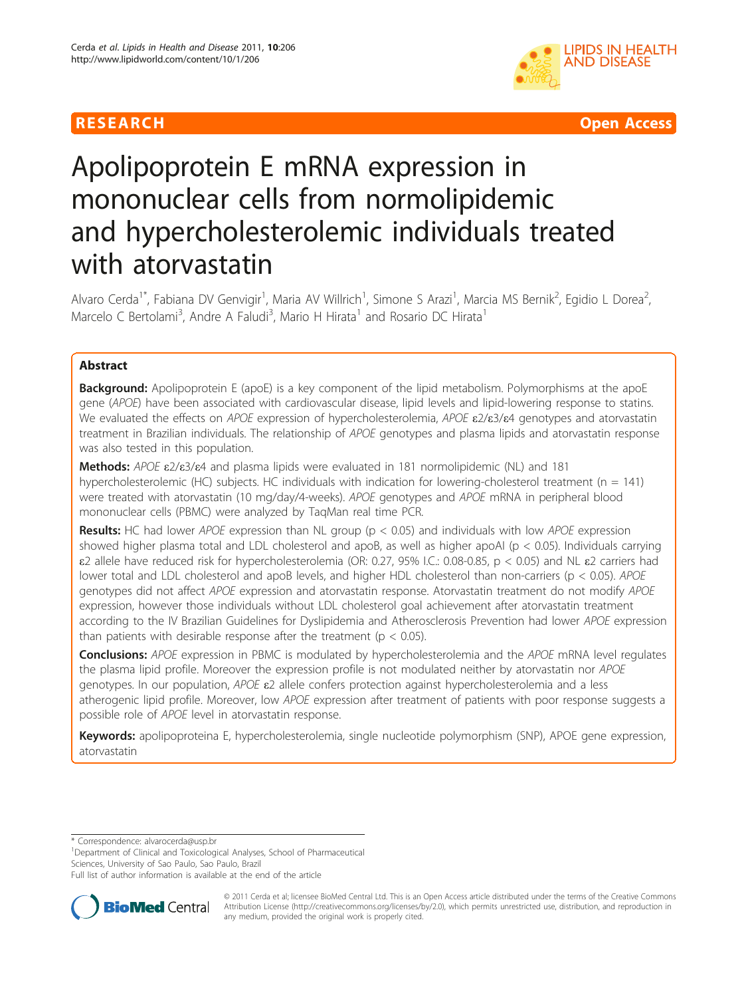



# Apolipoprotein E mRNA expression in mononuclear cells from normolipidemic and hypercholesterolemic individuals treated with atorvastatin

Alvaro Cerda<sup>1\*</sup>, Fabiana DV Genvigir<sup>1</sup>, Maria AV Willrich<sup>1</sup>, Simone S Arazi<sup>1</sup>, Marcia MS Bernik<sup>2</sup>, Egidio L Dorea<sup>2</sup> .<br>, Marcelo C Bertolami<sup>3</sup>, Andre A Faludi<sup>3</sup>, Mario H Hirata<sup>1</sup> and Rosario DC Hirata<sup>1</sup>

# Abstract

**Background:** Apolipoprotein E (apoE) is a key component of the lipid metabolism. Polymorphisms at the apoE gene (APOE) have been associated with cardiovascular disease, lipid levels and lipid-lowering response to statins. We evaluated the effects on APOE expression of hypercholesterolemia, APOE ε2/ε3/ε4 genotypes and atorvastatin treatment in Brazilian individuals. The relationship of APOE genotypes and plasma lipids and atorvastatin response was also tested in this population.

Methods: APOE ε2/ε3/ε4 and plasma lipids were evaluated in 181 normolipidemic (NL) and 181 hypercholesterolemic (HC) subjects. HC individuals with indication for lowering-cholesterol treatment ( $n = 141$ ) were treated with atorvastatin (10 mg/day/4-weeks). APOE genotypes and APOE mRNA in peripheral blood mononuclear cells (PBMC) were analyzed by TaqMan real time PCR.

**Results:** HC had lower APOE expression than NL group ( $p < 0.05$ ) and individuals with low APOE expression showed higher plasma total and LDL cholesterol and apoB, as well as higher apoAI ( $p < 0.05$ ). Individuals carrying ε2 allele have reduced risk for hypercholesterolemia (OR: 0.27, 95% I.C.: 0.08-0.85, p < 0.05) and NL ε2 carriers had lower total and LDL cholesterol and apoB levels, and higher HDL cholesterol than non-carriers ( $p < 0.05$ ). APOE genotypes did not affect APOE expression and atorvastatin response. Atorvastatin treatment do not modify APOE expression, however those individuals without LDL cholesterol goal achievement after atorvastatin treatment according to the IV Brazilian Guidelines for Dyslipidemia and Atherosclerosis Prevention had lower APOE expression than patients with desirable response after the treatment ( $p < 0.05$ ).

**Conclusions:** APOE expression in PBMC is modulated by hypercholesterolemia and the APOE mRNA level regulates the plasma lipid profile. Moreover the expression profile is not modulated neither by atorvastatin nor APOE genotypes. In our population, APOE ε2 allele confers protection against hypercholesterolemia and a less atherogenic lipid profile. Moreover, low APOE expression after treatment of patients with poor response suggests a possible role of APOE level in atorvastatin response.

Keywords: apolipoproteina E, hypercholesterolemia, single nucleotide polymorphism (SNP), APOE gene expression, atorvastatin

\* Correspondence: [alvarocerda@usp.br](mailto:alvarocerda@usp.br)

<sup>1</sup>Department of Clinical and Toxicological Analyses, School of Pharmaceutical Sciences, University of Sao Paulo, Sao Paulo, Brazil

Full list of author information is available at the end of the article



© 2011 Cerda et al; licensee BioMed Central Ltd. This is an Open Access article distributed under the terms of the Creative Commons Attribution License [\(http://creativecommons.org/licenses/by/2.0](http://creativecommons.org/licenses/by/2.0)), which permits unrestricted use, distribution, and reproduction in any medium, provided the original work is properly cited.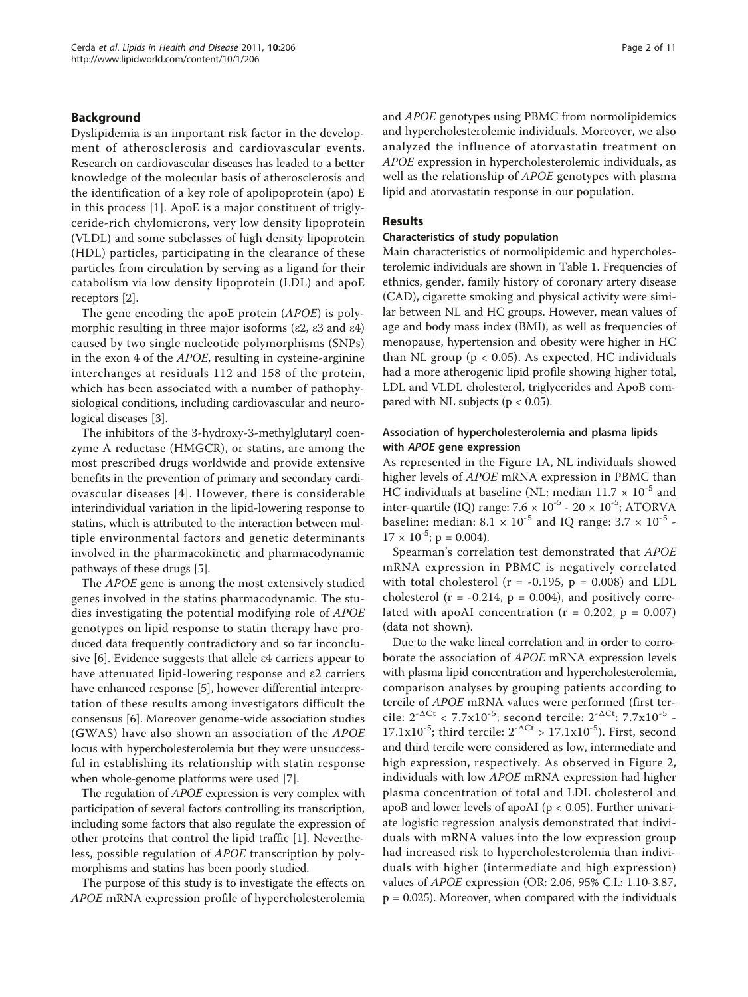### Background

Dyslipidemia is an important risk factor in the development of atherosclerosis and cardiovascular events. Research on cardiovascular diseases has leaded to a better knowledge of the molecular basis of atherosclerosis and the identification of a key role of apolipoprotein (apo) E in this process [\[1](#page-9-0)]. ApoE is a major constituent of triglyceride-rich chylomicrons, very low density lipoprotein (VLDL) and some subclasses of high density lipoprotein (HDL) particles, participating in the clearance of these particles from circulation by serving as a ligand for their catabolism via low density lipoprotein (LDL) and apoE receptors [\[2](#page-9-0)].

The gene encoding the apoE protein (APOE) is polymorphic resulting in three major isoforms (ε2, ε3 and ε4) caused by two single nucleotide polymorphisms (SNPs) in the exon 4 of the APOE, resulting in cysteine-arginine interchanges at residuals 112 and 158 of the protein, which has been associated with a number of pathophysiological conditions, including cardiovascular and neurological diseases [[3](#page-9-0)].

The inhibitors of the 3-hydroxy-3-methylglutaryl coenzyme A reductase (HMGCR), or statins, are among the most prescribed drugs worldwide and provide extensive benefits in the prevention of primary and secondary cardiovascular diseases [[4](#page-9-0)]. However, there is considerable interindividual variation in the lipid-lowering response to statins, which is attributed to the interaction between multiple environmental factors and genetic determinants involved in the pharmacokinetic and pharmacodynamic pathways of these drugs [\[5](#page-9-0)].

The APOE gene is among the most extensively studied genes involved in the statins pharmacodynamic. The studies investigating the potential modifying role of APOE genotypes on lipid response to statin therapy have produced data frequently contradictory and so far inconclusive [[6\]](#page-9-0). Evidence suggests that allele ε4 carriers appear to have attenuated lipid-lowering response and ε2 carriers have enhanced response [[5\]](#page-9-0), however differential interpretation of these results among investigators difficult the consensus [[6](#page-9-0)]. Moreover genome-wide association studies (GWAS) have also shown an association of the APOE locus with hypercholesterolemia but they were unsuccessful in establishing its relationship with statin response when whole-genome platforms were used [\[7](#page-9-0)].

The regulation of APOE expression is very complex with participation of several factors controlling its transcription, including some factors that also regulate the expression of other proteins that control the lipid traffic [\[1](#page-9-0)]. Nevertheless, possible regulation of APOE transcription by polymorphisms and statins has been poorly studied.

The purpose of this study is to investigate the effects on APOE mRNA expression profile of hypercholesterolemia and APOE genotypes using PBMC from normolipidemics and hypercholesterolemic individuals. Moreover, we also analyzed the influence of atorvastatin treatment on APOE expression in hypercholesterolemic individuals, as well as the relationship of APOE genotypes with plasma lipid and atorvastatin response in our population.

#### Results

### Characteristics of study population

Main characteristics of normolipidemic and hypercholesterolemic individuals are shown in Table [1](#page-2-0). Frequencies of ethnics, gender, family history of coronary artery disease (CAD), cigarette smoking and physical activity were similar between NL and HC groups. However, mean values of age and body mass index (BMI), as well as frequencies of menopause, hypertension and obesity were higher in HC than NL group ( $p < 0.05$ ). As expected, HC individuals had a more atherogenic lipid profile showing higher total, LDL and VLDL cholesterol, triglycerides and ApoB compared with NL subjects ( $p < 0.05$ ).

# Association of hypercholesterolemia and plasma lipids with APOE gene expression

As represented in the Figure [1A](#page-3-0), NL individuals showed higher levels of APOE mRNA expression in PBMC than HC individuals at baseline (NL: median  $11.7 \times 10^{-5}$  and inter-quartile (IQ) range:  $7.6 \times 10^{-5}$  -  $20 \times 10^{-5}$ ; ATORVA baseline: median:  $8.1 \times 10^{-5}$  and IQ range:  $3.7 \times 10^{-5}$  - $17 \times 10^{-5}$ ; p = 0.004).

Spearman's correlation test demonstrated that APOE mRNA expression in PBMC is negatively correlated with total cholesterol ( $r = -0.195$ ,  $p = 0.008$ ) and LDL cholesterol ( $r = -0.214$ ,  $p = 0.004$ ), and positively correlated with apoAI concentration ( $r = 0.202$ ,  $p = 0.007$ ) (data not shown).

Due to the wake lineal correlation and in order to corroborate the association of APOE mRNA expression levels with plasma lipid concentration and hypercholesterolemia, comparison analyses by grouping patients according to tercile of APOE mRNA values were performed (first tercile:  $2^{-\Delta Ct}$  < 7.7x10<sup>-5</sup>; second tercile:  $2^{-\Delta Ct}$ : 7.7x10<sup>-5</sup> - $17.1x10^{-5}$ ; third tercile:  $2^{-\Delta Ct} > 17.1x10^{-5}$ ). First, second and third tercile were considered as low, intermediate and high expression, respectively. As observed in Figure [2](#page-4-0), individuals with low APOE mRNA expression had higher plasma concentration of total and LDL cholesterol and apoB and lower levels of apoAI ( $p < 0.05$ ). Further univariate logistic regression analysis demonstrated that individuals with mRNA values into the low expression group had increased risk to hypercholesterolemia than individuals with higher (intermediate and high expression) values of APOE expression (OR: 2.06, 95% C.I.: 1.10-3.87, p = 0.025). Moreover, when compared with the individuals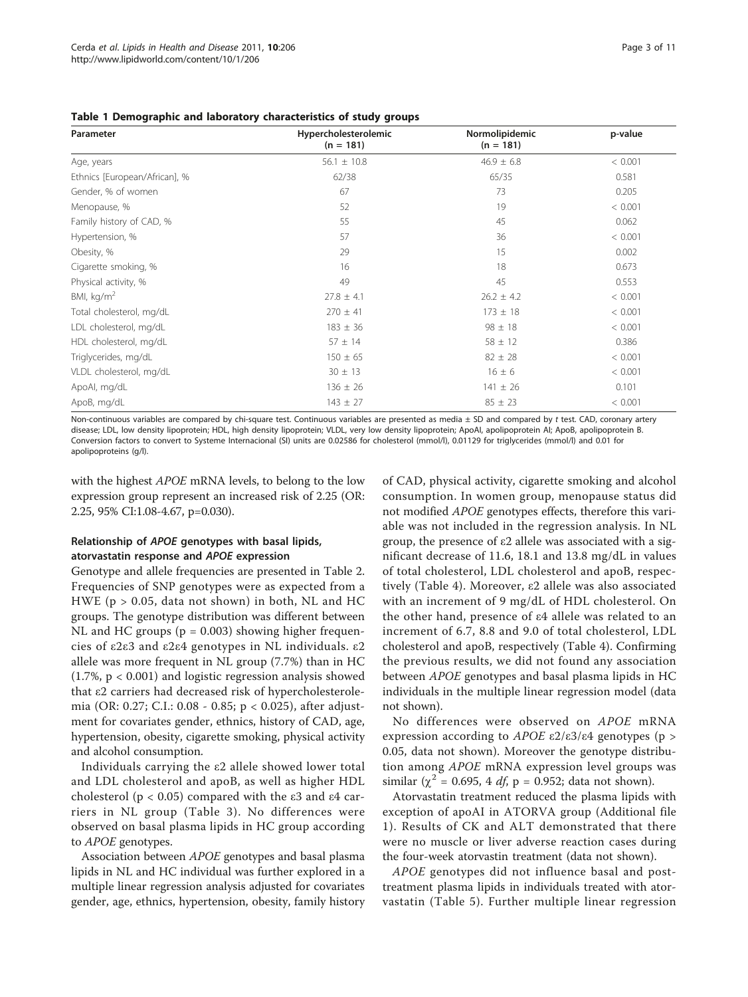<span id="page-2-0"></span>

| Parameter                     | Hypercholesterolemic<br>$(n = 181)$ | Normolipidemic<br>$(n = 181)$ | p-value |
|-------------------------------|-------------------------------------|-------------------------------|---------|
| Age, years                    | $56.1 \pm 10.8$                     | $46.9 \pm 6.8$                | < 0.001 |
| Ethnics [European/African], % | 62/38                               | 65/35                         | 0.581   |
| Gender, % of women            | 67                                  | 73                            | 0.205   |
| Menopause, %                  | 52                                  | 19                            | < 0.001 |
| Family history of CAD, %      | 55                                  | 45                            | 0.062   |
| Hypertension, %               | 57                                  | 36                            | < 0.001 |
| Obesity, %                    | 29                                  | 15                            | 0.002   |
| Cigarette smoking, %          | 16                                  | 18                            | 0.673   |
| Physical activity, %          | 49                                  | 45                            | 0.553   |
| BMI, $kg/m2$                  | $27.8 \pm 4.1$                      | $26.2 \pm 4.2$                | < 0.001 |
| Total cholesterol, mg/dL      | $270 \pm 41$                        | $173 \pm 18$                  | < 0.001 |
| LDL cholesterol, mg/dL        | $183 \pm 36$                        | $98 \pm 18$                   | < 0.001 |
| HDL cholesterol, mg/dL        | $57 \pm 14$                         | $58 \pm 12$                   | 0.386   |
| Triglycerides, mg/dL          | $150 \pm 65$                        | $82 \pm 28$                   | < 0.001 |
| VLDL cholesterol, mg/dL       | $30 \pm 13$                         | $16 \pm 6$                    | < 0.001 |
| ApoAl, mg/dL                  | $136 \pm 26$                        | $141 \pm 26$                  | 0.101   |
| ApoB, mg/dL                   | $143 \pm 27$                        | $85 \pm 23$                   | < 0.001 |

Non-continuous variables are compared by chi-square test. Continuous variables are presented as media  $\pm$  SD and compared by t test. CAD, coronary artery disease; LDL, low density lipoprotein; HDL, high density lipoprotein; VLDL, very low density lipoprotein; ApoAI, apolipoprotein AI; ApoB, apolipoprotein B. Conversion factors to convert to Systeme Internacional (SI) units are 0.02586 for cholesterol (mmol/l), 0.01129 for triglycerides (mmol/l) and 0.01 for apolipoproteins (g/l).

with the highest APOE mRNA levels, to belong to the low expression group represent an increased risk of 2.25 (OR: 2.25, 95% CI:1.08-4.67, p=0.030).

# Relationship of APOE genotypes with basal lipids, atorvastatin response and APOE expression

Genotype and allele frequencies are presented in Table [2](#page-4-0). Frequencies of SNP genotypes were as expected from a HWE ( $p > 0.05$ , data not shown) in both, NL and HC groups. The genotype distribution was different between NL and HC groups ( $p = 0.003$ ) showing higher frequencies of ε2ε3 and ε2ε4 genotypes in NL individuals. ε2 allele was more frequent in NL group (7.7%) than in HC (1.7%, p < 0.001) and logistic regression analysis showed that ε2 carriers had decreased risk of hypercholesterolemia (OR: 0.27; C.I.: 0.08 - 0.85; p < 0.025), after adjustment for covariates gender, ethnics, history of CAD, age, hypertension, obesity, cigarette smoking, physical activity and alcohol consumption.

Individuals carrying the ε2 allele showed lower total and LDL cholesterol and apoB, as well as higher HDL cholesterol ( $p < 0.05$ ) compared with the ε3 and ε4 carriers in NL group (Table [3\)](#page-5-0). No differences were observed on basal plasma lipids in HC group according to APOE genotypes.

Association between APOE genotypes and basal plasma lipids in NL and HC individual was further explored in a multiple linear regression analysis adjusted for covariates gender, age, ethnics, hypertension, obesity, family history

of CAD, physical activity, cigarette smoking and alcohol consumption. In women group, menopause status did not modified APOE genotypes effects, therefore this variable was not included in the regression analysis. In NL group, the presence of ε2 allele was associated with a significant decrease of 11.6, 18.1 and 13.8 mg/dL in values of total cholesterol, LDL cholesterol and apoB, respectively (Table [4](#page-5-0)). Moreover, ε2 allele was also associated with an increment of 9 mg/dL of HDL cholesterol. On the other hand, presence of ε4 allele was related to an increment of 6.7, 8.8 and 9.0 of total cholesterol, LDL cholesterol and apoB, respectively (Table [4\)](#page-5-0). Confirming the previous results, we did not found any association between APOE genotypes and basal plasma lipids in HC individuals in the multiple linear regression model (data not shown).

No differences were observed on APOE mRNA expression according to  $APOE$  ε2/ε3/ε4 genotypes (p > 0.05, data not shown). Moreover the genotype distribution among APOE mRNA expression level groups was similar ( $\chi^2$  = 0.695, 4 *df*, p = 0.952; data not shown).

Atorvastatin treatment reduced the plasma lipids with exception of apoAI in ATORVA group (Additional file [1](#page-9-0)). Results of CK and ALT demonstrated that there were no muscle or liver adverse reaction cases during the four-week atorvastin treatment (data not shown).

APOE genotypes did not influence basal and posttreatment plasma lipids in individuals treated with atorvastatin (Table [5](#page-6-0)). Further multiple linear regression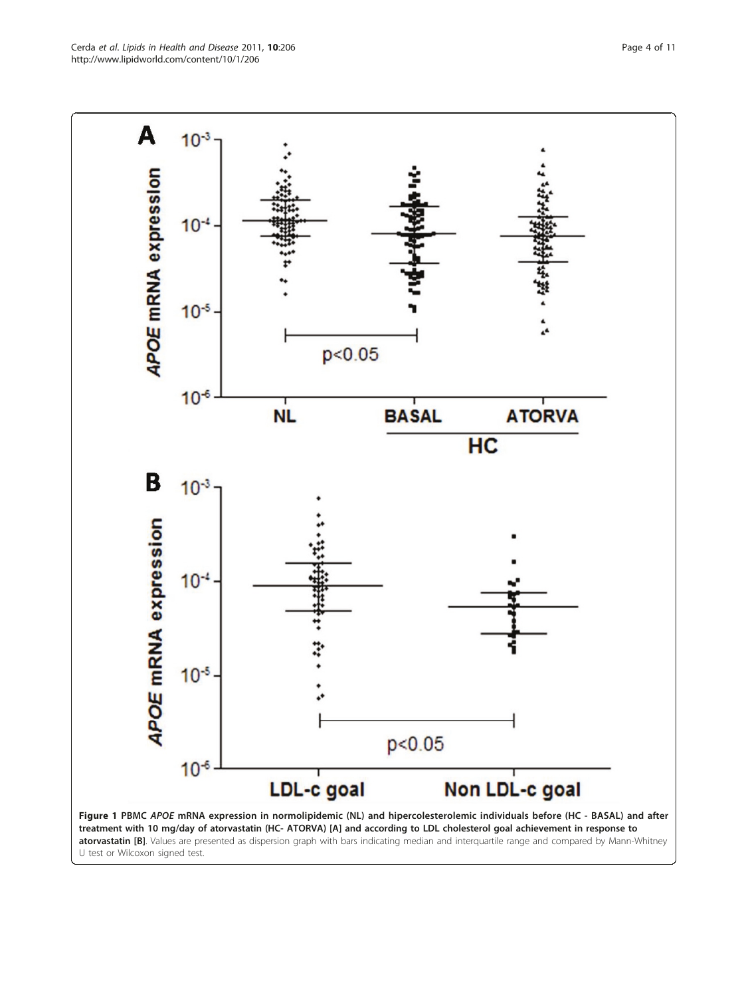<span id="page-3-0"></span>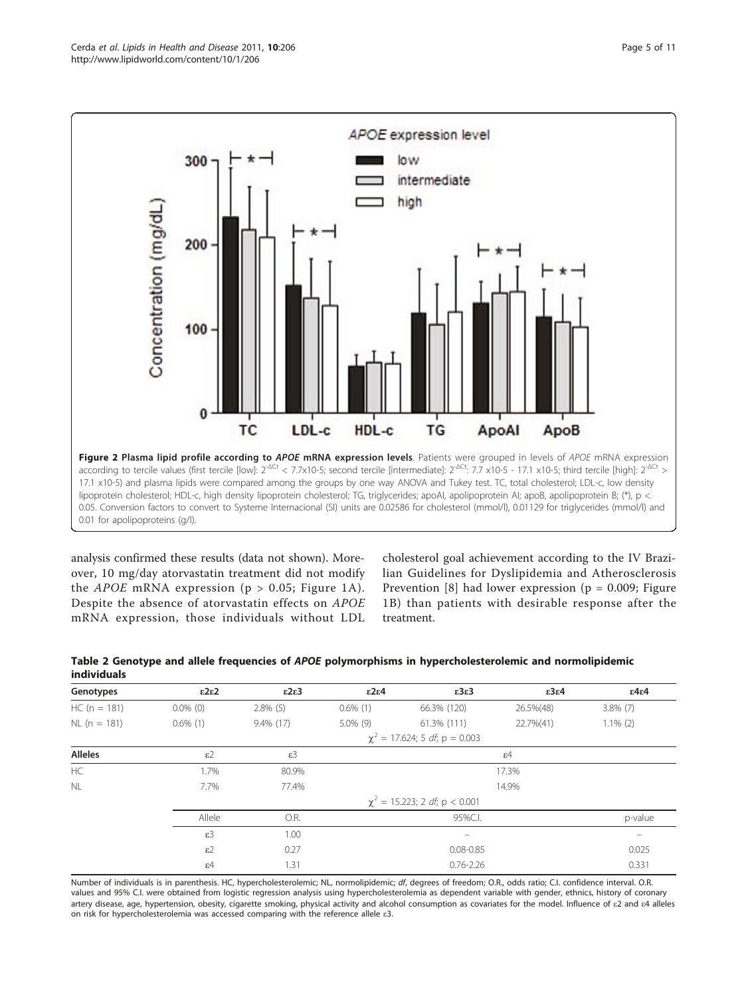<span id="page-4-0"></span>

analysis confirmed these results (data not shown). Moreover, 10 mg/day atorvastatin treatment did not modify the *APOE* mRNA expression ( $p > 0.05$ ; Figure [1A\)](#page-3-0). Despite the absence of atorvastatin effects on APOE mRNA expression, those individuals without LDL

cholesterol goal achievement according to the IV Brazilian Guidelines for Dyslipidemia and Atherosclerosis Prevention [[8](#page-10-0)] had lower expression ( $p = 0.009$ ; Figure [1B](#page-3-0)) than patients with desirable response after the treatment.

| Genotypes      | $\epsilon$ 2 $\epsilon$ 2 | $\epsilon$ 2 $\epsilon$ 3 | $\epsilon$ 2 $\epsilon$ 4 | $\epsilon$ 3 $\epsilon$ 3          | $\epsilon$ 3 $\epsilon$ 4 | $\epsilon$ 4 $\epsilon$ 4 |
|----------------|---------------------------|---------------------------|---------------------------|------------------------------------|---------------------------|---------------------------|
| $HC (n = 181)$ | $0.0\%$ (0)               | $2.8\%$ (5)               | $0.6\%$ (1)               | 66.3% (120)                        | 26.5%(48)                 | $3.8\%$ (7)               |
| $NL (n = 181)$ | $0.6\%$ (1)               | $9.4\%$ (17)              | $5.0\%$ (9)               | 61.3% (111)                        | 22.7%(41)                 | $1.1\%$ (2)               |
|                |                           |                           |                           | $\chi^2$ = 17.624; 5 df; p = 0.003 |                           |                           |
| <b>Alleles</b> | $\varepsilon$ 2           | $\varepsilon$ 3           |                           |                                    | $\varepsilon$ 4           |                           |
| HC             | 1.7%                      | 80.9%                     |                           |                                    | 17.3%                     |                           |
| <b>NL</b>      | 7.7%                      | 77.4%                     |                           |                                    | 14.9%                     |                           |
|                |                           |                           |                           | $\chi^2$ = 15.223; 2 df; p < 0.001 |                           |                           |
|                | Allele                    | O.R.                      |                           | 95%C.I.                            |                           | p-value                   |
|                | $\varepsilon$ 3           | 1.00                      |                           |                                    |                           |                           |
|                | $\varepsilon$ 2           | 0.27                      |                           | $0.08 - 0.85$                      |                           | 0.025                     |
|                | $\varepsilon$ 4           | 1.31                      |                           | $0.76 - 2.26$                      |                           | 0.331                     |

|             |  | Table 2 Genotype and allele frequencies of APOE polymorphisms in hypercholesterolemic and normolipidemic |  |
|-------------|--|----------------------------------------------------------------------------------------------------------|--|
| individuals |  |                                                                                                          |  |

Number of individuals is in parenthesis. HC, hypercholesterolemic; NL, normolipidemic; df, degrees of freedom; O.R., odds ratio; C.I. confidence interval. O.R. values and 95% C.I. were obtained from logistic regression analysis using hypercholesterolemia as dependent variable with gender, ethnics, history of coronary artery disease, age, hypertension, obesity, cigarette smoking, physical activity and alcohol consumption as covariates for the model. Influence of ε2 and ε4 alleles on risk for hypercholesterolemia was accessed comparing with the reference allele ε3.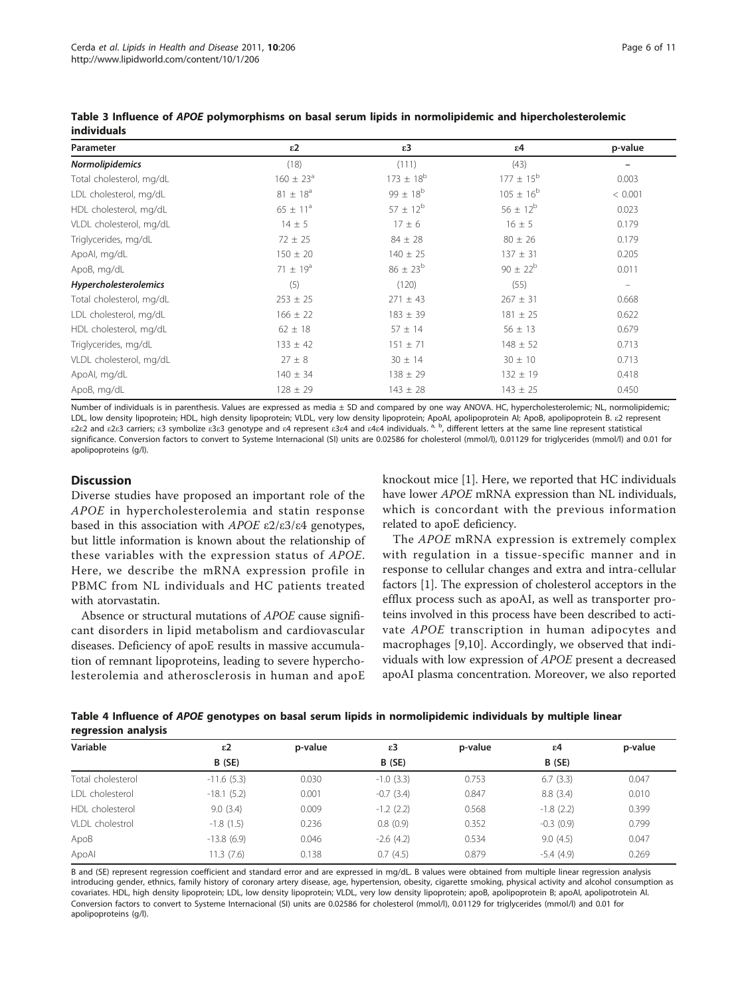| Parameter                | $\epsilon$ 2         | $\epsilon$ 3     | $\epsilon$ 4         | p-value           |
|--------------------------|----------------------|------------------|----------------------|-------------------|
| Normolipidemics          | (18)                 | (111)            | (43)                 |                   |
| Total cholesterol, mg/dL | $160 \pm 23^{\circ}$ | $173 \pm 18^{b}$ | $177 \pm 15^{b}$     | 0.003             |
| LDL cholesterol, mg/dL   | $81 \pm 18^{\circ}$  | $99 \pm 18^{b}$  | $105 \pm 16^{\circ}$ | < 0.001           |
| HDL cholesterol, mg/dL   | $65 \pm 11^a$        | $57 \pm 12^b$    | $56 \pm 12^{6}$      | 0.023             |
| VLDL cholesterol, mg/dL  | $14 \pm 5$           | $17 \pm 6$       | $16 \pm 5$           | 0.179             |
| Triglycerides, mg/dL     | $72 \pm 25$          | $84 \pm 28$      | $80 \pm 26$          | 0.179             |
| ApoAl, mg/dL             | $150 \pm 20$         | $140 \pm 25$     | $137 \pm 31$         | 0.205             |
| ApoB, mg/dL              | $71 \pm 19^a$        | $86 \pm 23^{b}$  | $90 \pm 22^{b}$      | 0.011             |
| Hypercholesterolemics    | (5)                  | (120)            | (55)                 | $\qquad \qquad =$ |
| Total cholesterol, mg/dL | $253 \pm 25$         | $271 \pm 43$     | $267 \pm 31$         | 0.668             |
| LDL cholesterol, mg/dL   | $166 \pm 22$         | $183 \pm 39$     | $181 \pm 25$         | 0.622             |
| HDL cholesterol, mg/dL   | $62 \pm 18$          | $57 \pm 14$      | $56 \pm 13$          | 0.679             |
| Triglycerides, mg/dL     | $133 \pm 42$         | $151 \pm 71$     | $148 \pm 52$         | 0.713             |
| VLDL cholesterol, mg/dL  | $27 \pm 8$           | $30 \pm 14$      | $30 \pm 10$          | 0.713             |
| ApoAl, mg/dL             | $140 \pm 34$         | $138 \pm 29$     | $132 \pm 19$         | 0.418             |
| ApoB, mg/dL              | $128 \pm 29$         | $143 \pm 28$     | $143 \pm 25$         | 0.450             |

<span id="page-5-0"></span>Table 3 Influence of APOE polymorphisms on basal serum lipids in normolipidemic and hipercholesterolemic individuals

Number of individuals is in parenthesis. Values are expressed as media ± SD and compared by one way ANOVA. HC, hypercholesterolemic; NL, normolipidemic; LDL, low density lipoprotein; HDL, high density lipoprotein; VLDL, very low density lipoprotein; ApoAI, apolipoprotein AI; ApoB, apolipoprotein B. ε2 represent ε2ε2 and ε2ε3 carriers; ε3 symbolize ε3ε3 genotype and ε4 represent ε3ε4 and ε4ε4 individuals. a, b, different letters at the same line represent statistical significance. Conversion factors to convert to Systeme Internacional (SI) units are 0.02586 for cholesterol (mmol/l), 0.01129 for triglycerides (mmol/l) and 0.01 for apolipoproteins (g/l).

# **Discussion**

Diverse studies have proposed an important role of the APOE in hypercholesterolemia and statin response based in this association with APOE  $\epsilon$ 2/ $\epsilon$ 3/ $\epsilon$ 4 genotypes, but little information is known about the relationship of these variables with the expression status of APOE. Here, we describe the mRNA expression profile in PBMC from NL individuals and HC patients treated with atorvastatin.

Absence or structural mutations of APOE cause significant disorders in lipid metabolism and cardiovascular diseases. Deficiency of apoE results in massive accumulation of remnant lipoproteins, leading to severe hypercholesterolemia and atherosclerosis in human and apoE knockout mice [[1\]](#page-9-0). Here, we reported that HC individuals have lower APOE mRNA expression than NL individuals, which is concordant with the previous information related to apoE deficiency.

The APOE mRNA expression is extremely complex with regulation in a tissue-specific manner and in response to cellular changes and extra and intra-cellular factors [\[1\]](#page-9-0). The expression of cholesterol acceptors in the efflux process such as apoAI, as well as transporter proteins involved in this process have been described to activate APOE transcription in human adipocytes and macrophages [\[9,10](#page-10-0)]. Accordingly, we observed that individuals with low expression of APOE present a decreased apoAI plasma concentration. Moreover, we also reported

| Table 4 Influence of APOE genotypes on basal serum lipids in normolipidemic individuals by multiple linear |  |  |
|------------------------------------------------------------------------------------------------------------|--|--|
| regression analysis                                                                                        |  |  |

| Variable          | $\epsilon$ 2 | p-value | ε3           | p-value | ε4          | p-value |
|-------------------|--------------|---------|--------------|---------|-------------|---------|
|                   | B (SE)       |         | B (SE)       |         | B (SE)      |         |
| Total cholesterol | $-11.6(5.3)$ | 0.030   | $-1.0$ (3.3) | 0.753   | 6.7(3.3)    | 0.047   |
| LDL cholesterol   | $-18.1(5.2)$ | 0.001   | $-0.7(3.4)$  | 0.847   | 8.8 (3.4)   | 0.010   |
| HDL cholesterol   | 9.0(3.4)     | 0.009   | $-1.2$ (2.2) | 0.568   | $-1.8(2.2)$ | 0.399   |
| VI DI cholestrol  | $-1.8(1.5)$  | 0.236   | 0.8(0.9)     | 0.352   | $-0.3(0.9)$ | 0.799   |
| ApoB              | $-13.8(6.9)$ | 0.046   | $-2.6(4.2)$  | 0.534   | 9.0(4.5)    | 0.047   |
| ApoAl             | 11.3(7.6)    | 0.138   | 0.7(4.5)     | 0.879   | $-5.4(4.9)$ | 0.269   |

B and (SE) represent regression coefficient and standard error and are expressed in mg/dL. B values were obtained from multiple linear regression analysis introducing gender, ethnics, family history of coronary artery disease, age, hypertension, obesity, cigarette smoking, physical activity and alcohol consumption as covariates. HDL, high density lipoprotein; LDL, low density lipoprotein; VLDL, very low density lipoprotein; apoB, apolipoprotein B; apoAI, apolipotrotein AI. Conversion factors to convert to Systeme Internacional (SI) units are 0.02586 for cholesterol (mmol/l), 0.01129 for triglycerides (mmol/l) and 0.01 for apolipoproteins (g/l).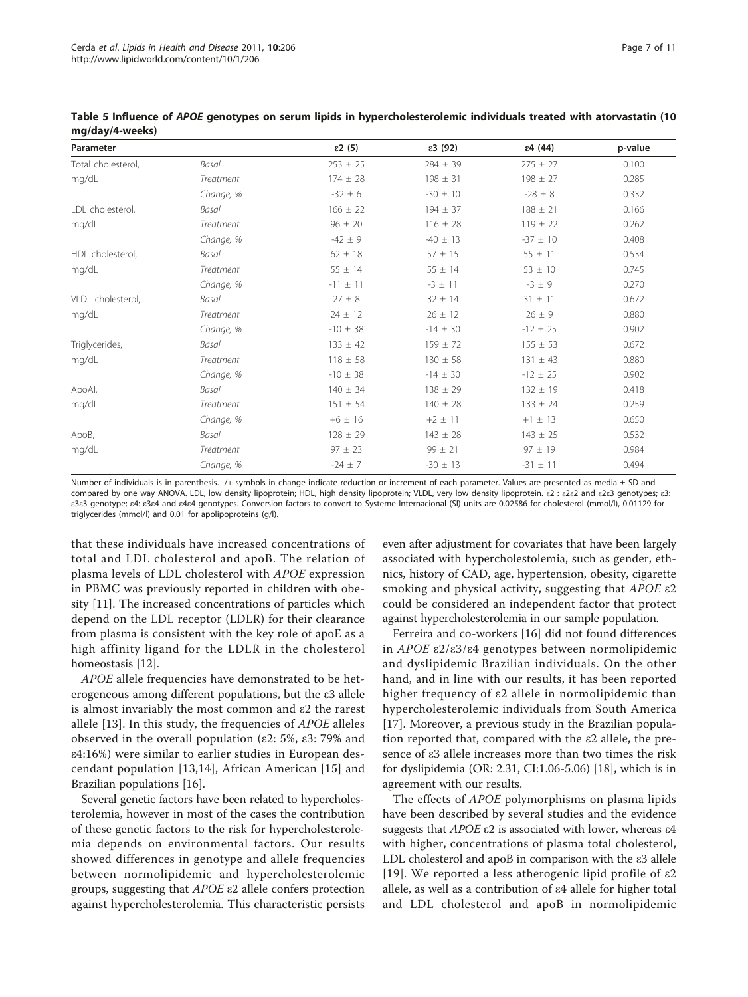| Parameter          |                  | $\epsilon$ 2 (5) | $\epsilon$ 3 (92) | $\epsilon$ 4 (44) | p-value |
|--------------------|------------------|------------------|-------------------|-------------------|---------|
| Total cholesterol, | Basal            | $253 \pm 25$     | $284 \pm 39$      | $275 \pm 27$      | 0.100   |
| mg/dL              | Treatment        | $174 \pm 28$     | $198 \pm 31$      | $198 \pm 27$      | 0.285   |
|                    | Change, %        | $-32 \pm 6$      | $-30 \pm 10$      | $-28 \pm 8$       | 0.332   |
| LDL cholesterol,   | Basal            | $166 \pm 22$     | $194 \pm 37$      | $188 \pm 21$      | 0.166   |
| mg/dL              | <b>Treatment</b> | $96 \pm 20$      | $116 \pm 28$      | $119 \pm 22$      | 0.262   |
|                    | Change, %        | $-42 \pm 9$      | $-40 \pm 13$      | $-37 \pm 10$      | 0.408   |
| HDL cholesterol,   | Basal            | $62 \pm 18$      | $57 \pm 15$       | $55 \pm 11$       | 0.534   |
| mg/dL              | Treatment        | $55 \pm 14$      | $55 \pm 14$       | $53 \pm 10$       | 0.745   |
|                    | Change, %        | $-11 \pm 11$     | $-3 \pm 11$       | $-3 \pm 9$        | 0.270   |
| VLDL cholesterol.  | Basal            | $27 \pm 8$       | $32 \pm 14$       | $31 \pm 11$       | 0.672   |
| mg/dL              | Treatment        | $24 \pm 12$      | $26 \pm 12$       | $26 \pm 9$        | 0.880   |
|                    | Change, %        | $-10 \pm 38$     | $-14 \pm 30$      | $-12 \pm 25$      | 0.902   |
| Triglycerides,     | Basal            | $133 \pm 42$     | $159 \pm 72$      | $155 \pm 53$      | 0.672   |
| mg/dL              | Treatment        | $118 \pm 58$     | $130 \pm 58$      | $131 \pm 43$      | 0.880   |
|                    | Change, %        | $-10 \pm 38$     | $-14 \pm 30$      | $-12 \pm 25$      | 0.902   |
| ApoAl,             | Basal            | $140 \pm 34$     | $138 \pm 29$      | $132 \pm 19$      | 0.418   |
| mg/dL              | Treatment        | $151 \pm 54$     | $140 \pm 28$      | $133 \pm 24$      | 0.259   |
|                    | Change, %        | $+6 \pm 16$      | $+2 \pm 11$       | $+1 \pm 13$       | 0.650   |
| ApoB,              | Basal            | $128 \pm 29$     | $143 \pm 28$      | $143 \pm 25$      | 0.532   |
| mg/dL              | <b>Treatment</b> | $97 \pm 23$      | $99 \pm 21$       | $97 \pm 19$       | 0.984   |
|                    | Change, %        | $-24 \pm 7$      | $-30 \pm 13$      | $-31 \pm 11$      | 0.494   |

<span id="page-6-0"></span>Table 5 Influence of APOE genotypes on serum lipids in hypercholesterolemic individuals treated with atorvastatin (10 mg/day/4-weeks)

Number of individuals is in parenthesis. -/+ symbols in change indicate reduction or increment of each parameter. Values are presented as media  $\pm$  SD and compared by one way ANOVA. LDL, low density lipoprotein; HDL, high density lipoprotein; VLDL, very low density lipoprotein. ε2 : ε2ε2 and ε2ε3 genotypes; ε3: ε3ε3 genotype; ε4: ε3ε4 and ε4ε4 genotypes. Conversion factors to convert to Systeme Internacional (SI) units are 0.02586 for cholesterol (mmol/l), 0.01129 for triglycerides (mmol/l) and 0.01 for apolipoproteins (g/l).

that these individuals have increased concentrations of total and LDL cholesterol and apoB. The relation of plasma levels of LDL cholesterol with APOE expression in PBMC was previously reported in children with obesity [[11](#page-10-0)]. The increased concentrations of particles which depend on the LDL receptor (LDLR) for their clearance from plasma is consistent with the key role of apoE as a high affinity ligand for the LDLR in the cholesterol homeostasis [[12\]](#page-10-0).

APOE allele frequencies have demonstrated to be heterogeneous among different populations, but the ε3 allele is almost invariably the most common and ε2 the rarest allele [\[13](#page-10-0)]. In this study, the frequencies of APOE alleles observed in the overall population (ε2: 5%, ε3: 79% and ε4:16%) were similar to earlier studies in European descendant population [\[13,14](#page-10-0)], African American [[15](#page-10-0)] and Brazilian populations [\[16](#page-10-0)].

Several genetic factors have been related to hypercholesterolemia, however in most of the cases the contribution of these genetic factors to the risk for hypercholesterolemia depends on environmental factors. Our results showed differences in genotype and allele frequencies between normolipidemic and hypercholesterolemic groups, suggesting that  $APOE$  ε2 allele confers protection against hypercholesterolemia. This characteristic persists

even after adjustment for covariates that have been largely associated with hypercholestolemia, such as gender, ethnics, history of CAD, age, hypertension, obesity, cigarette smoking and physical activity, suggesting that APOE ε2 could be considered an independent factor that protect against hypercholesterolemia in our sample population.

Ferreira and co-workers [\[16](#page-10-0)] did not found differences in APOE ε2/ε3/ε4 genotypes between normolipidemic and dyslipidemic Brazilian individuals. On the other hand, and in line with our results, it has been reported higher frequency of ε2 allele in normolipidemic than hypercholesterolemic individuals from South America [[17\]](#page-10-0). Moreover, a previous study in the Brazilian population reported that, compared with the ε2 allele, the presence of ε3 allele increases more than two times the risk for dyslipidemia (OR: 2.31, CI:1.06-5.06) [[18\]](#page-10-0), which is in agreement with our results.

The effects of APOE polymorphisms on plasma lipids have been described by several studies and the evidence suggests that  $APOE$  ε2 is associated with lower, whereas ε4 with higher, concentrations of plasma total cholesterol, LDL cholesterol and apoB in comparison with the ε3 allele [[19](#page-10-0)]. We reported a less atherogenic lipid profile of ε2 allele, as well as a contribution of ε4 allele for higher total and LDL cholesterol and apoB in normolipidemic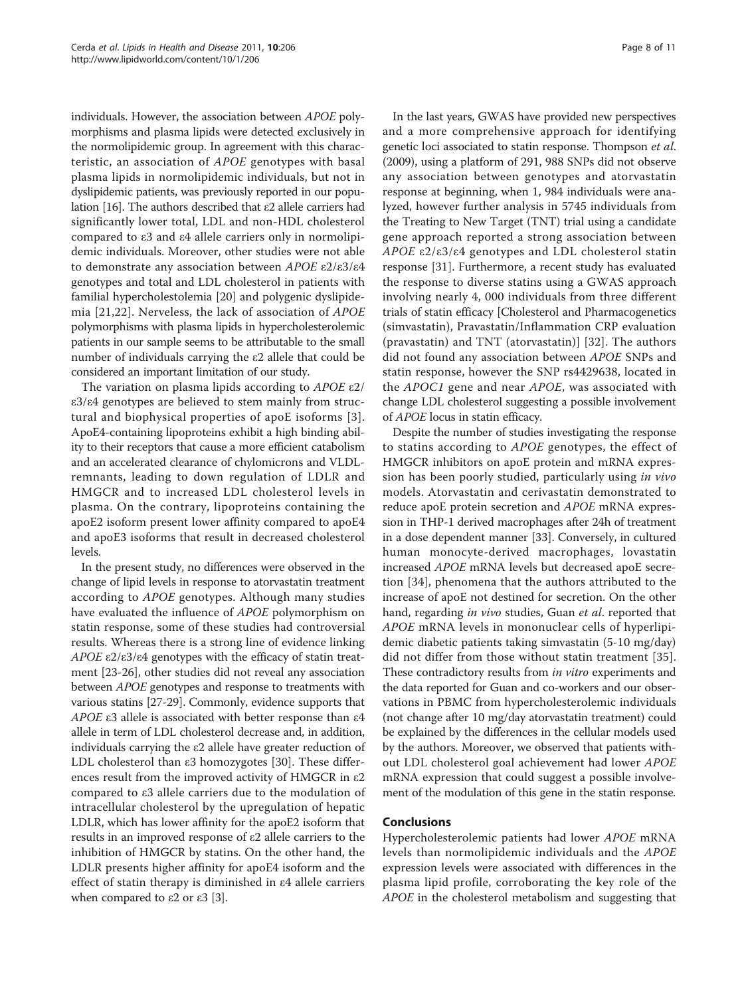individuals. However, the association between APOE polymorphisms and plasma lipids were detected exclusively in the normolipidemic group. In agreement with this characteristic, an association of APOE genotypes with basal plasma lipids in normolipidemic individuals, but not in dyslipidemic patients, was previously reported in our population [[16](#page-10-0)]. The authors described that ε2 allele carriers had significantly lower total, LDL and non-HDL cholesterol compared to ε3 and ε4 allele carriers only in normolipidemic individuals. Moreover, other studies were not able to demonstrate any association between APOE ε2/ε3/ε4 genotypes and total and LDL cholesterol in patients with familial hypercholestolemia [\[20\]](#page-10-0) and polygenic dyslipidemia [[21,22](#page-10-0)]. Nerveless, the lack of association of APOE polymorphisms with plasma lipids in hypercholesterolemic patients in our sample seems to be attributable to the small number of individuals carrying the ε2 allele that could be considered an important limitation of our study.

The variation on plasma lipids according to APOE ε2/ ε3/ε4 genotypes are believed to stem mainly from structural and biophysical properties of apoE isoforms [[3\]](#page-9-0). ApoE4-containing lipoproteins exhibit a high binding ability to their receptors that cause a more efficient catabolism and an accelerated clearance of chylomicrons and VLDLremnants, leading to down regulation of LDLR and HMGCR and to increased LDL cholesterol levels in plasma. On the contrary, lipoproteins containing the apoE2 isoform present lower affinity compared to apoE4 and apoE3 isoforms that result in decreased cholesterol levels.

In the present study, no differences were observed in the change of lipid levels in response to atorvastatin treatment according to APOE genotypes. Although many studies have evaluated the influence of APOE polymorphism on statin response, some of these studies had controversial results. Whereas there is a strong line of evidence linking APOE  $ε2/ε3/ε4$  genotypes with the efficacy of statin treatment [[23-26\]](#page-10-0), other studies did not reveal any association between APOE genotypes and response to treatments with various statins [[27](#page-10-0)-[29](#page-10-0)]. Commonly, evidence supports that APOE ε3 allele is associated with better response than ε4 allele in term of LDL cholesterol decrease and, in addition, individuals carrying the ε2 allele have greater reduction of LDL cholesterol than ε3 homozygotes [\[30](#page-10-0)]. These differences result from the improved activity of HMGCR in ε2 compared to ε3 allele carriers due to the modulation of intracellular cholesterol by the upregulation of hepatic LDLR, which has lower affinity for the apoE2 isoform that results in an improved response of ε2 allele carriers to the inhibition of HMGCR by statins. On the other hand, the LDLR presents higher affinity for apoE4 isoform and the effect of statin therapy is diminished in ε4 allele carriers when compared to  $ε2$  or  $ε3$  [\[3](#page-9-0)].

In the last years, GWAS have provided new perspectives and a more comprehensive approach for identifying genetic loci associated to statin response. Thompson et al. (2009), using a platform of 291, 988 SNPs did not observe any association between genotypes and atorvastatin response at beginning, when 1, 984 individuals were analyzed, however further analysis in 5745 individuals from the Treating to New Target (TNT) trial using a candidate gene approach reported a strong association between APOE ε2/ε3/ε4 genotypes and LDL cholesterol statin response [[31\]](#page-10-0). Furthermore, a recent study has evaluated the response to diverse statins using a GWAS approach involving nearly 4, 000 individuals from three different trials of statin efficacy [Cholesterol and Pharmacogenetics (simvastatin), Pravastatin/Inflammation CRP evaluation (pravastatin) and TNT (atorvastatin)] [[32\]](#page-10-0). The authors did not found any association between APOE SNPs and statin response, however the SNP rs4429638, located in the APOC1 gene and near APOE, was associated with change LDL cholesterol suggesting a possible involvement of APOE locus in statin efficacy.

Despite the number of studies investigating the response to statins according to APOE genotypes, the effect of HMGCR inhibitors on apoE protein and mRNA expression has been poorly studied, particularly using in vivo models. Atorvastatin and cerivastatin demonstrated to reduce apoE protein secretion and APOE mRNA expression in THP-1 derived macrophages after 24h of treatment in a dose dependent manner [[33](#page-10-0)]. Conversely, in cultured human monocyte-derived macrophages, lovastatin increased APOE mRNA levels but decreased apoE secretion [[34\]](#page-10-0), phenomena that the authors attributed to the increase of apoE not destined for secretion. On the other hand, regarding in vivo studies, Guan et al. reported that APOE mRNA levels in mononuclear cells of hyperlipidemic diabetic patients taking simvastatin (5-10 mg/day) did not differ from those without statin treatment [[35](#page-10-0)]. These contradictory results from in vitro experiments and the data reported for Guan and co-workers and our observations in PBMC from hypercholesterolemic individuals (not change after 10 mg/day atorvastatin treatment) could be explained by the differences in the cellular models used by the authors. Moreover, we observed that patients without LDL cholesterol goal achievement had lower APOE mRNA expression that could suggest a possible involvement of the modulation of this gene in the statin response.

#### Conclusions

Hypercholesterolemic patients had lower APOE mRNA levels than normolipidemic individuals and the APOE expression levels were associated with differences in the plasma lipid profile, corroborating the key role of the APOE in the cholesterol metabolism and suggesting that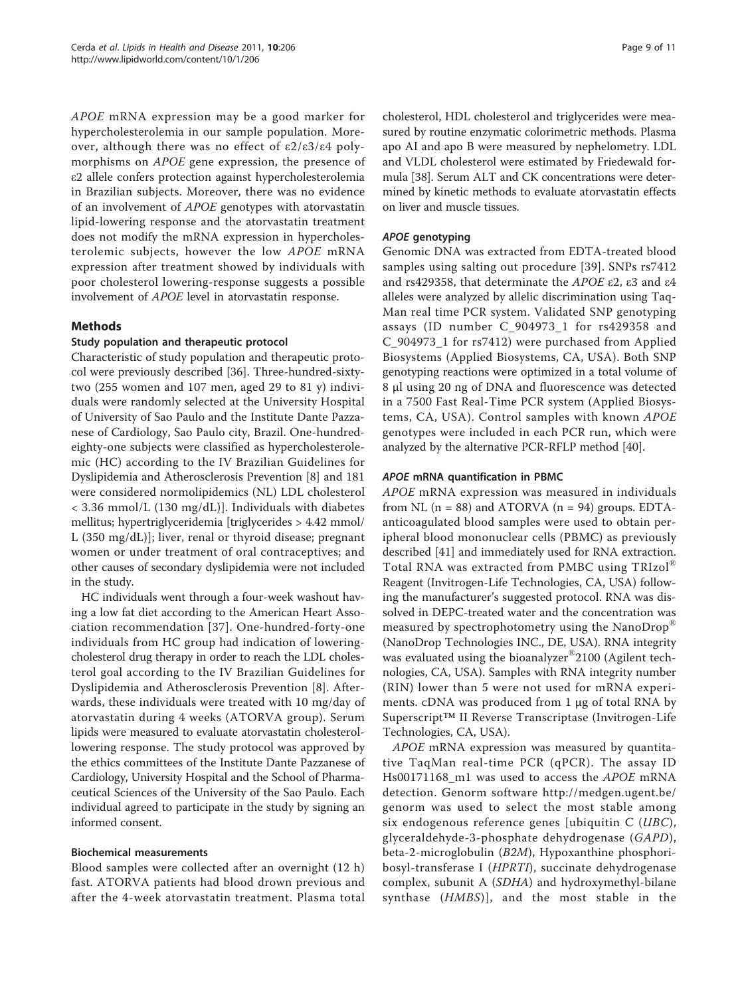APOE mRNA expression may be a good marker for hypercholesterolemia in our sample population. Moreover, although there was no effect of ε2/ε3/ε4 polymorphisms on APOE gene expression, the presence of ε2 allele confers protection against hypercholesterolemia in Brazilian subjects. Moreover, there was no evidence of an involvement of APOE genotypes with atorvastatin lipid-lowering response and the atorvastatin treatment does not modify the mRNA expression in hypercholesterolemic subjects, however the low APOE mRNA expression after treatment showed by individuals with poor cholesterol lowering-response suggests a possible involvement of APOE level in atorvastatin response.

# Methods

#### Study population and therapeutic protocol

Characteristic of study population and therapeutic protocol were previously described [[36](#page-10-0)]. Three-hundred-sixtytwo (255 women and 107 men, aged 29 to 81 y) individuals were randomly selected at the University Hospital of University of Sao Paulo and the Institute Dante Pazzanese of Cardiology, Sao Paulo city, Brazil. One-hundredeighty-one subjects were classified as hypercholesterolemic (HC) according to the IV Brazilian Guidelines for Dyslipidemia and Atherosclerosis Prevention [[8\]](#page-10-0) and 181 were considered normolipidemics (NL) LDL cholesterol < 3.36 mmol/L (130 mg/dL)]. Individuals with diabetes mellitus; hypertriglyceridemia [triglycerides > 4.42 mmol/ L (350 mg/dL)]; liver, renal or thyroid disease; pregnant women or under treatment of oral contraceptives; and other causes of secondary dyslipidemia were not included in the study.

HC individuals went through a four-week washout having a low fat diet according to the American Heart Association recommendation [[37](#page-10-0)]. One-hundred-forty-one individuals from HC group had indication of loweringcholesterol drug therapy in order to reach the LDL cholesterol goal according to the IV Brazilian Guidelines for Dyslipidemia and Atherosclerosis Prevention [[8\]](#page-10-0). Afterwards, these individuals were treated with 10 mg/day of atorvastatin during 4 weeks (ATORVA group). Serum lipids were measured to evaluate atorvastatin cholesterollowering response. The study protocol was approved by the ethics committees of the Institute Dante Pazzanese of Cardiology, University Hospital and the School of Pharmaceutical Sciences of the University of the Sao Paulo. Each individual agreed to participate in the study by signing an informed consent.

# Biochemical measurements

Blood samples were collected after an overnight (12 h) fast. ATORVA patients had blood drown previous and after the 4-week atorvastatin treatment. Plasma total

cholesterol, HDL cholesterol and triglycerides were measured by routine enzymatic colorimetric methods. Plasma apo AI and apo B were measured by nephelometry. LDL and VLDL cholesterol were estimated by Friedewald formula [[38](#page-10-0)]. Serum ALT and CK concentrations were determined by kinetic methods to evaluate atorvastatin effects on liver and muscle tissues.

# APOE genotyping

Genomic DNA was extracted from EDTA-treated blood samples using salting out procedure [[39\]](#page-10-0). SNPs rs7412 and rs429358, that determinate the APOE ε2, ε3 and ε4 alleles were analyzed by allelic discrimination using Taq-Man real time PCR system. Validated SNP genotyping assays (ID number C\_904973\_1 for rs429358 and C\_904973\_1 for rs7412) were purchased from Applied Biosystems (Applied Biosystems, CA, USA). Both SNP genotyping reactions were optimized in a total volume of 8 μl using 20 ng of DNA and fluorescence was detected in a 7500 Fast Real-Time PCR system (Applied Biosystems, CA, USA). Control samples with known APOE genotypes were included in each PCR run, which were analyzed by the alternative PCR-RFLP method [[40\]](#page-10-0).

### APOE mRNA quantification in PBMC

APOE mRNA expression was measured in individuals from NL  $(n = 88)$  and ATORVA  $(n = 94)$  groups. EDTAanticoagulated blood samples were used to obtain peripheral blood mononuclear cells (PBMC) as previously described [[41](#page-10-0)] and immediately used for RNA extraction. Total RNA was extracted from PMBC using TRIzol® Reagent (Invitrogen-Life Technologies, CA, USA) following the manufacturer's suggested protocol. RNA was dissolved in DEPC-treated water and the concentration was measured by spectrophotometry using the NanoDrop® (NanoDrop Technologies INC., DE, USA). RNA integrity was evaluated using the bioanalyzer®2100 (Agilent technologies, CA, USA). Samples with RNA integrity number (RIN) lower than 5 were not used for mRNA experiments. cDNA was produced from 1 μg of total RNA by Superscript™ II Reverse Transcriptase (Invitrogen-Life Technologies, CA, USA).

APOE mRNA expression was measured by quantitative TaqMan real-time PCR (qPCR). The assay ID Hs00171168\_m1 was used to access the APOE mRNA detection. Genorm software [http://medgen.ugent.be/](http://medgen.ugent.be/genorm) [genorm](http://medgen.ugent.be/genorm) was used to select the most stable among six endogenous reference genes [ubiquitin  $C$  (*UBC*), glyceraldehyde-3-phosphate dehydrogenase (GAPD), beta-2-microglobulin (B2M), Hypoxanthine phosphoribosyl-transferase I (HPRTI), succinate dehydrogenase complex, subunit A (SDHA) and hydroxymethyl-bilane synthase (HMBS)], and the most stable in the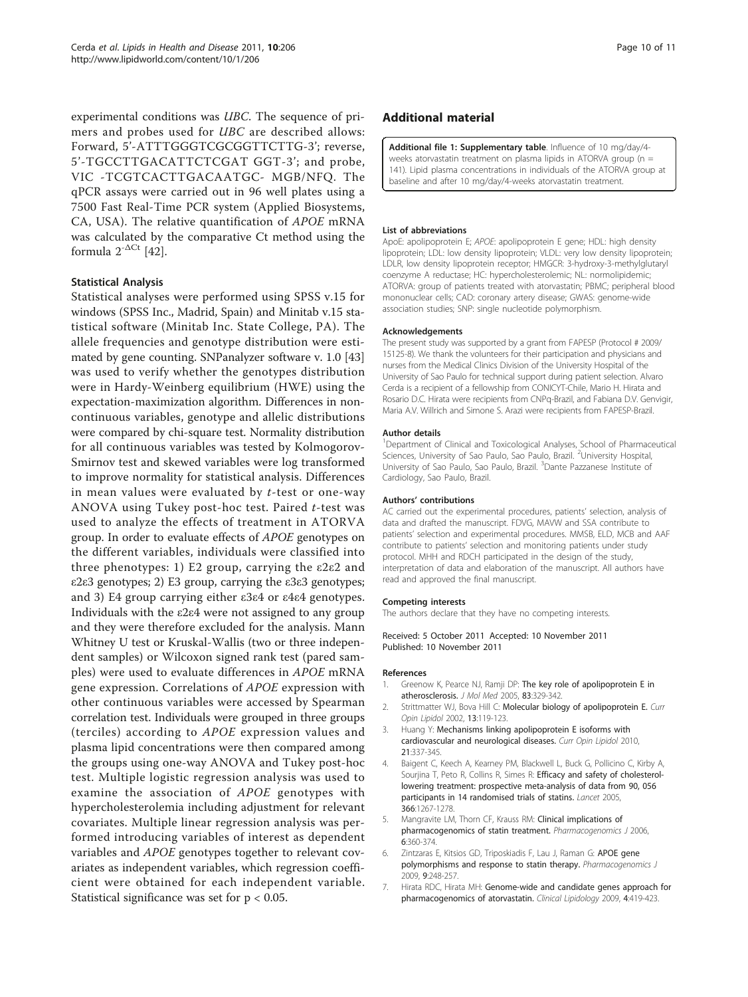<span id="page-9-0"></span>experimental conditions was UBC. The sequence of primers and probes used for UBC are described allows: Forward, 5'-ATTTGGGTCGCGGTTCTTG-3'; reverse, 5'-TGCCTTGACATTCTCGAT GGT-3'; and probe, VIC -TCGTCACTTGACAATGC- MGB/NFQ. The qPCR assays were carried out in 96 well plates using a 7500 Fast Real-Time PCR system (Applied Biosystems, CA, USA). The relative quantification of APOE mRNA was calculated by the comparative Ct method using the formula  $2^{-\Delta C t}$  [\[42\]](#page-10-0).

### Statistical Analysis

Statistical analyses were performed using SPSS v.15 for windows (SPSS Inc., Madrid, Spain) and Minitab v.15 statistical software (Minitab Inc. State College, PA). The allele frequencies and genotype distribution were estimated by gene counting. SNPanalyzer software v. 1.0 [[43](#page-10-0)] was used to verify whether the genotypes distribution were in Hardy-Weinberg equilibrium (HWE) using the expectation-maximization algorithm. Differences in noncontinuous variables, genotype and allelic distributions were compared by chi-square test. Normality distribution for all continuous variables was tested by Kolmogorov-Smirnov test and skewed variables were log transformed to improve normality for statistical analysis. Differences in mean values were evaluated by  $t$ -test or one-way ANOVA using Tukey post-hoc test. Paired t-test was used to analyze the effects of treatment in ATORVA group. In order to evaluate effects of APOE genotypes on the different variables, individuals were classified into three phenotypes: 1) E2 group, carrying the ε2ε2 and ε2ε3 genotypes; 2) E3 group, carrying the ε3ε3 genotypes; and 3) E4 group carrying either ε3ε4 or ε4ε4 genotypes. Individuals with the ε2ε4 were not assigned to any group and they were therefore excluded for the analysis. Mann Whitney U test or Kruskal-Wallis (two or three independent samples) or Wilcoxon signed rank test (pared samples) were used to evaluate differences in APOE mRNA gene expression. Correlations of APOE expression with other continuous variables were accessed by Spearman correlation test. Individuals were grouped in three groups (terciles) according to APOE expression values and plasma lipid concentrations were then compared among the groups using one-way ANOVA and Tukey post-hoc test. Multiple logistic regression analysis was used to examine the association of APOE genotypes with hypercholesterolemia including adjustment for relevant covariates. Multiple linear regression analysis was performed introducing variables of interest as dependent variables and APOE genotypes together to relevant covariates as independent variables, which regression coefficient were obtained for each independent variable. Statistical significance was set for p < 0.05.

#### Additional material

[Additional file 1: S](http://www.biomedcentral.com/content/supplementary/1476-511X-10-206-S1.DOC)upplementary table. Influence of 10 mg/day/4weeks atorvastatin treatment on plasma lipids in ATORVA group ( $n =$ 141). Lipid plasma concentrations in individuals of the ATORVA group at baseline and after 10 mg/day/4-weeks atorvastatin treatment.

#### List of abbreviations

ApoE: apolipoprotein E; APOE: apolipoprotein E gene; HDL: high density lipoprotein; LDL: low density lipoprotein; VLDL: very low density lipoprotein; LDLR, low density lipoprotein receptor; HMGCR: 3-hydroxy-3-methylglutaryl coenzyme A reductase; HC: hypercholesterolemic; NL: normolipidemic; ATORVA: group of patients treated with atorvastatin; PBMC; peripheral blood mononuclear cells; CAD: coronary artery disease; GWAS: genome-wide association studies; SNP: single nucleotide polymorphism.

#### Acknowledgements

The present study was supported by a grant from FAPESP (Protocol # 2009/ 15125-8). We thank the volunteers for their participation and physicians and nurses from the Medical Clinics Division of the University Hospital of the University of Sao Paulo for technical support during patient selection. Alvaro Cerda is a recipient of a fellowship from CONICYT-Chile, Mario H. Hirata and Rosario D.C. Hirata were recipients from CNPq-Brazil, and Fabiana D.V. Genvigir, Maria A.V. Willrich and Simone S. Arazi were recipients from FAPESP-Brazil.

#### Author details

<sup>1</sup>Department of Clinical and Toxicological Analyses, School of Pharmaceutical Sciences, University of Sao Paulo, Sao Paulo, Brazil. <sup>2</sup>University Hospital University of Sao Paulo, Sao Paulo, Brazil. <sup>3</sup>Dante Pazzanese Institute of Cardiology, Sao Paulo, Brazil.

#### Authors' contributions

AC carried out the experimental procedures, patients' selection, analysis of data and drafted the manuscript. FDVG, MAVW and SSA contribute to patients' selection and experimental procedures. MMSB, ELD, MCB and AAF contribute to patients' selection and monitoring patients under study protocol. MHH and RDCH participated in the design of the study, interpretation of data and elaboration of the manuscript. All authors have read and approved the final manuscript.

#### Competing interests

The authors declare that they have no competing interests.

Received: 5 October 2011 Accepted: 10 November 2011 Published: 10 November 2011

#### References

- 1. Greenow K, Pearce NJ, Ramji DP: [The key role of apolipoprotein E in](http://www.ncbi.nlm.nih.gov/pubmed/15827760?dopt=Abstract) [atherosclerosis.](http://www.ncbi.nlm.nih.gov/pubmed/15827760?dopt=Abstract) J Mol Med 2005, 83:329-342.
- 2. Strittmatter WJ, Bova Hill C: [Molecular biology of apolipoprotein E.](http://www.ncbi.nlm.nih.gov/pubmed/11891413?dopt=Abstract) Curr Opin Lipidol 2002, 13:119-123.
- Huang Y: [Mechanisms linking apolipoprotein E isoforms with](http://www.ncbi.nlm.nih.gov/pubmed/20531185?dopt=Abstract) [cardiovascular and neurological diseases.](http://www.ncbi.nlm.nih.gov/pubmed/20531185?dopt=Abstract) Curr Opin Lipidol 2010, 21:337-345.
- Baigent C, Keech A, Kearney PM, Blackwell L, Buck G, Pollicino C, Kirby A, Sourjina T, Peto R, Collins R, Simes R: [Efficacy and safety of cholesterol](http://www.ncbi.nlm.nih.gov/pubmed/16214597?dopt=Abstract)[lowering treatment: prospective meta-analysis of data from 90, 056](http://www.ncbi.nlm.nih.gov/pubmed/16214597?dopt=Abstract) [participants in 14 randomised trials of statins.](http://www.ncbi.nlm.nih.gov/pubmed/16214597?dopt=Abstract) Lancet 2005, 366:1267-1278.
- 5. Mangravite LM, Thorn CF, Krauss RM: [Clinical implications of](http://www.ncbi.nlm.nih.gov/pubmed/16550210?dopt=Abstract) [pharmacogenomics of statin treatment.](http://www.ncbi.nlm.nih.gov/pubmed/16550210?dopt=Abstract) Pharmacogenomics J 2006, 6:360-374.
- Zintzaras E, Kitsios GD, Triposkiadis F, Lau J, Raman G: [APOE gene](http://www.ncbi.nlm.nih.gov/pubmed/19529002?dopt=Abstract) [polymorphisms and response to statin therapy.](http://www.ncbi.nlm.nih.gov/pubmed/19529002?dopt=Abstract) Pharmacogenomics J 2009, 9:248-257.
- 7. Hirata RDC, Hirata MH: Genome-wide and candidate genes approach for pharmacogenomics of atorvastatin. Clinical Lipidology 2009, 4:419-423.